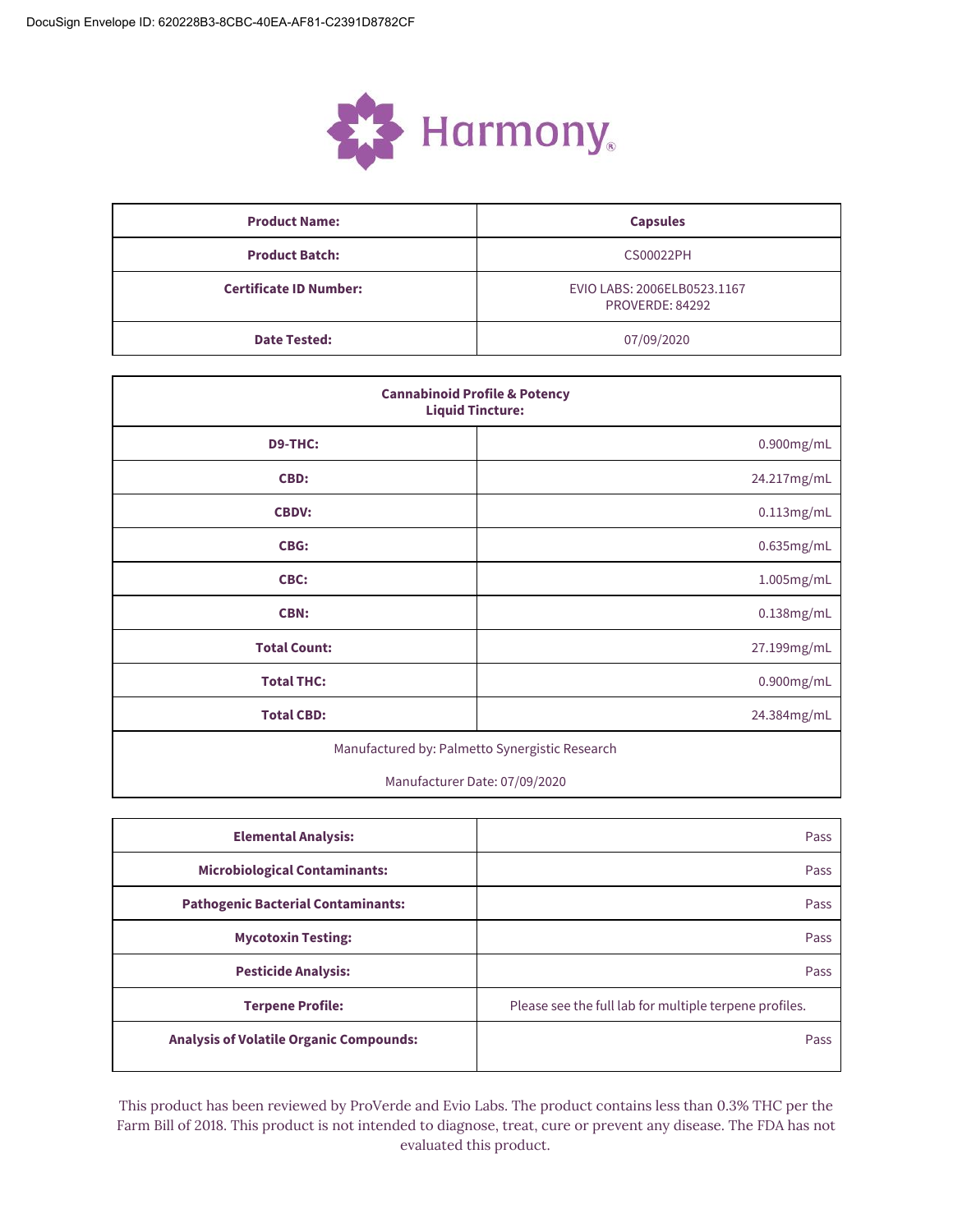

| <b>Product Name:</b>          | <b>Capsules</b>                                |  |  |  |
|-------------------------------|------------------------------------------------|--|--|--|
| <b>Product Batch:</b>         | <b>CS00022PH</b>                               |  |  |  |
| <b>Certificate ID Number:</b> | EVIO LABS: 2006ELB0523.1167<br>PROVERDE: 84292 |  |  |  |
| <b>Date Tested:</b>           | 07/09/2020                                     |  |  |  |

| <b>Cannabinoid Profile &amp; Potency</b><br><b>Liquid Tincture:</b> |               |  |  |
|---------------------------------------------------------------------|---------------|--|--|
| <b>D9-THC:</b>                                                      | $0.900$ mg/mL |  |  |
| CBD:                                                                | 24.217mg/mL   |  |  |
| <b>CBDV:</b>                                                        | 0.113mg/mL    |  |  |
| <b>CBG:</b>                                                         | 0.635mg/mL    |  |  |
| CBC:                                                                | 1.005mg/mL    |  |  |
| <b>CBN:</b>                                                         | 0.138mg/mL    |  |  |
| <b>Total Count:</b>                                                 | 27.199mg/mL   |  |  |
| <b>Total THC:</b>                                                   | 0.900mg/mL    |  |  |
| <b>Total CBD:</b>                                                   | 24.384mg/mL   |  |  |
| Manufactured by: Palmetto Synergistic Research                      |               |  |  |

Manufacturer Date: 07/09/2020

| <b>Elemental Analysis:</b>                     | Pass                                                   |
|------------------------------------------------|--------------------------------------------------------|
| <b>Microbiological Contaminants:</b>           | Pass                                                   |
| <b>Pathogenic Bacterial Contaminants:</b>      | Pass                                                   |
| <b>Mycotoxin Testing:</b>                      | Pass                                                   |
| <b>Pesticide Analysis:</b>                     | Pass                                                   |
| <b>Terpene Profile:</b>                        | Please see the full lab for multiple terpene profiles. |
| <b>Analysis of Volatile Organic Compounds:</b> | Pass                                                   |

This product has been reviewed by ProVerde and Evio Labs. The product contains less than 0.3% THC per the Farm Bill of 2018. This product is not intended to diagnose, treat, cure or prevent any disease. The FDA has not evaluated this product.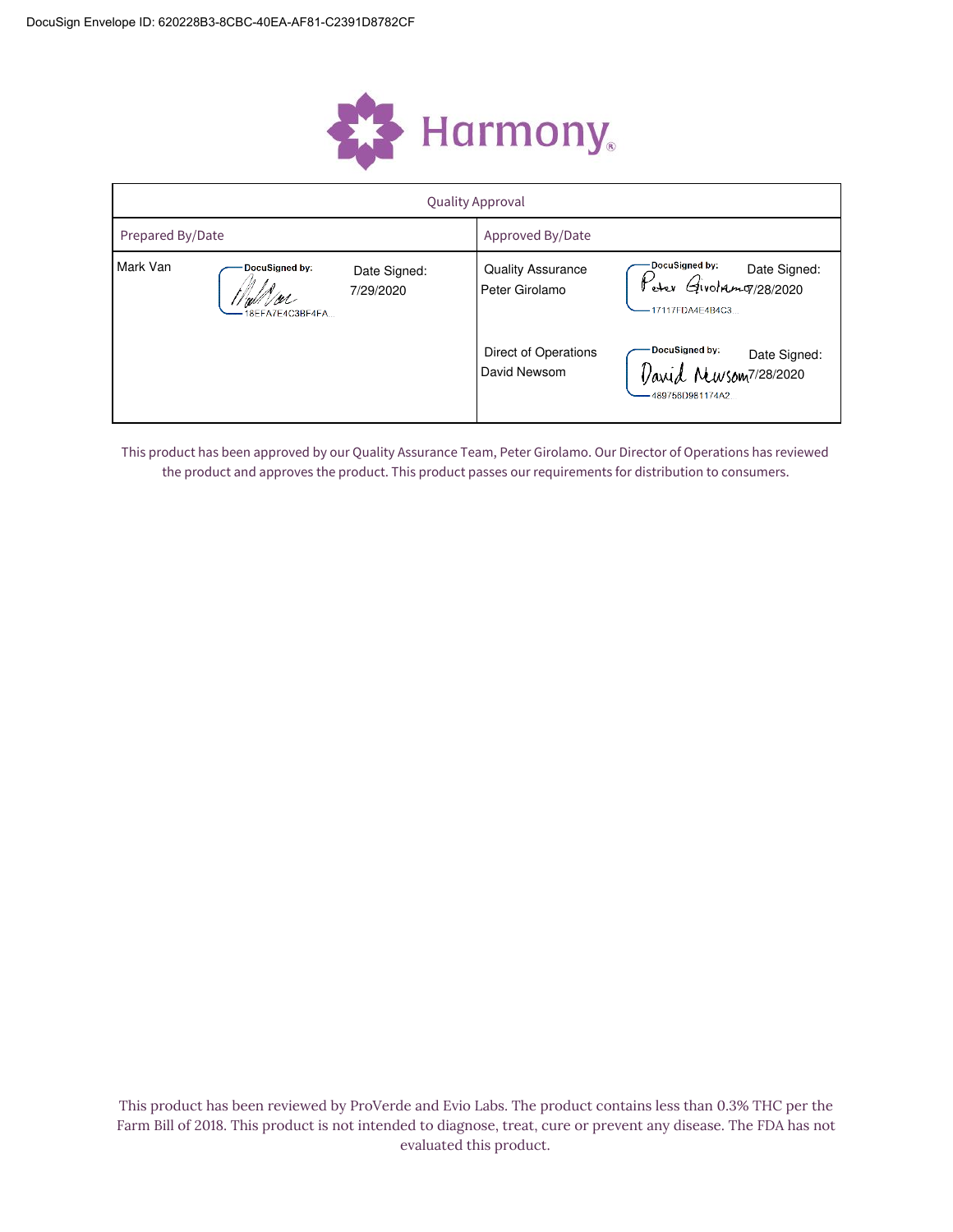

|                  | <b>Quality Approval</b>           |                           |                                            |                                                                                |  |  |  |
|------------------|-----------------------------------|---------------------------|--------------------------------------------|--------------------------------------------------------------------------------|--|--|--|
| Prepared By/Date |                                   |                           | Approved By/Date                           |                                                                                |  |  |  |
| Mark Van         | DocuSigned by:<br>18EFA7E4C3BF4FA | Date Signed:<br>7/29/2020 | <b>Quality Assurance</b><br>Peter Girolamo | DocuSigned by:<br>med by: Date Signed:<br>Givolnimg/28/2020<br>17117FDA4E4B4C3 |  |  |  |
|                  |                                   |                           | Direct of Operations<br>David Newsom       | DocuSigned by:<br>Date Signed:<br>Newsom7/28/2020<br>-489756D981174A2          |  |  |  |

This product has been approved by our Quality Assurance Team, Peter Girolamo. Our Director of Operations has reviewed the product and approves the product. This product passes our requirements for distribution to consumers.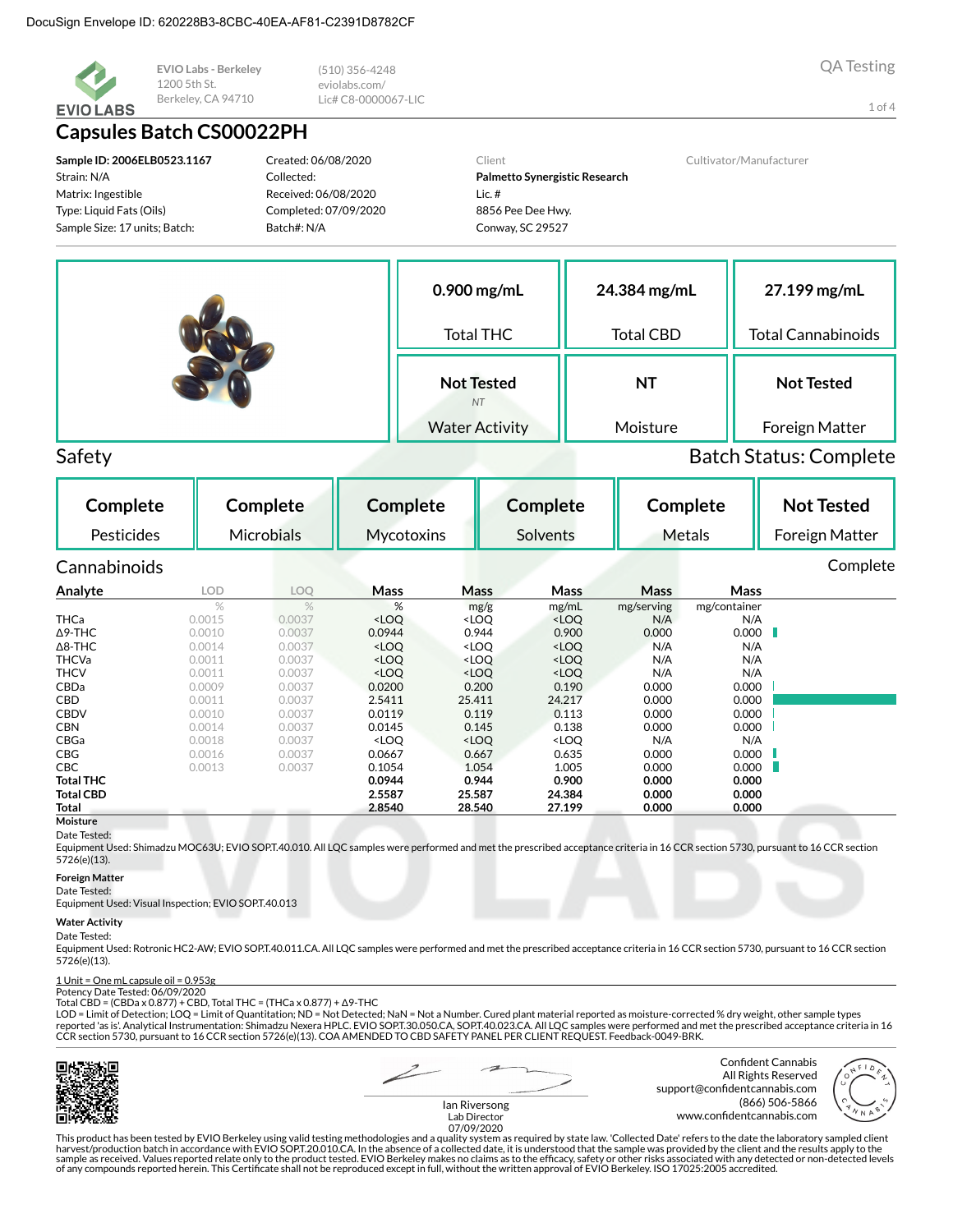

EVIO Labs - Berkeley 1200 5th St. Berkeley, CA 94710

### **Capsules Batch CS00022PH**

Sample ID: 2006ELB0523.1167 Strain: N/A Matrix: Ingestible Type: Liquid Fats (Oils) Sample Size: 17 units; Batch:

Created: 06/08/2020 Collected: Received: 06/08/2020 Completed: 07/09/2020 Batch#: N/A

 $(510)$  356-4248

Lic# C8-0000067-LIC

eviolabs.com/

Client Palmetto Synergistic Research  $lic.$ # 8856 Pee Dee Hwy. Conway, SC 29527

Cultivator/Manufacturer

| $0.900$ mg/mL                  | 24.384 mg/mL     | 27.199 mg/mL              |
|--------------------------------|------------------|---------------------------|
| <b>Total THC</b>               | <b>Total CBD</b> | <b>Total Cannabinoids</b> |
| <b>Not Tested</b><br><b>NT</b> | NT               | <b>Not Tested</b>         |
| <b>Water Activity</b>          | Moisture         | Foreign Matter            |

Safety

**Batch Status: Complete** 

| Complete         |        | Complete          | <b>Complete</b>                                                                                                       |                                                                                           | Complete                                                      |             | Complete     |   | <b>Not Tested</b> |
|------------------|--------|-------------------|-----------------------------------------------------------------------------------------------------------------------|-------------------------------------------------------------------------------------------|---------------------------------------------------------------|-------------|--------------|---|-------------------|
| Pesticides       |        | <b>Microbials</b> | Mycotoxins                                                                                                            |                                                                                           | Solvents                                                      |             | Metals       |   | Foreign Matter    |
| Cannabinoids     |        |                   |                                                                                                                       |                                                                                           |                                                               |             |              |   | Complete          |
| Analyte          | LOD.   | <b>LOQ</b>        | <b>Mass</b>                                                                                                           | Mass                                                                                      | <b>Mass</b>                                                   | <b>Mass</b> | Mass         |   |                   |
|                  | $\%$   | $\%$              | %                                                                                                                     | mg/g                                                                                      | mg/mL                                                         | mg/serving  | mg/container |   |                   |
| <b>THCa</b>      | 0.0015 | 0.0037            | <loq< td=""><td><loq< td=""><td><loo< td=""><td>N/A</td><td>N/A</td><td></td><td></td></loo<></td></loq<></td></loq<> | <loq< td=""><td><loo< td=""><td>N/A</td><td>N/A</td><td></td><td></td></loo<></td></loq<> | <loo< td=""><td>N/A</td><td>N/A</td><td></td><td></td></loo<> | N/A         | N/A          |   |                   |
| $\Delta$ 9-THC   | 0.0010 | 0.0037            | 0.0944                                                                                                                | 0.944                                                                                     | 0.900                                                         | 0.000       | 0.000        | H |                   |
| $\Delta$ 8-THC   | 0.0014 | 0.0037            | <loq< td=""><td><loq< td=""><td><loq< td=""><td>N/A</td><td>N/A</td><td></td><td></td></loq<></td></loq<></td></loq<> | <loq< td=""><td><loq< td=""><td>N/A</td><td>N/A</td><td></td><td></td></loq<></td></loq<> | <loq< td=""><td>N/A</td><td>N/A</td><td></td><td></td></loq<> | N/A         | N/A          |   |                   |
| <b>THCVa</b>     | 0.0011 | 0.0037            | <loq< td=""><td><loq< td=""><td><loq< td=""><td>N/A</td><td>N/A</td><td></td><td></td></loq<></td></loq<></td></loq<> | <loq< td=""><td><loq< td=""><td>N/A</td><td>N/A</td><td></td><td></td></loq<></td></loq<> | <loq< td=""><td>N/A</td><td>N/A</td><td></td><td></td></loq<> | N/A         | N/A          |   |                   |
| <b>THCV</b>      | 0.0011 | 0.0037            | <loq< td=""><td><loq< td=""><td><loq< td=""><td>N/A</td><td>N/A</td><td></td><td></td></loq<></td></loq<></td></loq<> | <loq< td=""><td><loq< td=""><td>N/A</td><td>N/A</td><td></td><td></td></loq<></td></loq<> | <loq< td=""><td>N/A</td><td>N/A</td><td></td><td></td></loq<> | N/A         | N/A          |   |                   |
| CBDa             | 0.0009 | 0.0037            | 0.0200                                                                                                                | 0.200                                                                                     | 0.190                                                         | 0.000       | 0.000        |   |                   |
| CBD              | 0.0011 | 0.0037            | 2.5411                                                                                                                | 25.411                                                                                    | 24.217                                                        | 0.000       | 0.000        |   |                   |
| <b>CBDV</b>      | 0.0010 | 0.0037            | 0.0119                                                                                                                | 0.119                                                                                     | 0.113                                                         | 0.000       | 0.000        |   |                   |
| <b>CBN</b>       | 0.0014 | 0.0037            | 0.0145                                                                                                                | 0.145                                                                                     | 0.138                                                         | 0.000       | 0.000        |   |                   |
| CBGa             | 0.0018 | 0.0037            | <loo< th=""><th><loq< th=""><th><loq< th=""><th>N/A</th><th>N/A</th><th></th><th></th></loq<></th></loq<></th></loo<> | <loq< th=""><th><loq< th=""><th>N/A</th><th>N/A</th><th></th><th></th></loq<></th></loq<> | <loq< th=""><th>N/A</th><th>N/A</th><th></th><th></th></loq<> | N/A         | N/A          |   |                   |
| <b>CBG</b>       | 0.0016 | 0.0037            | 0.0667                                                                                                                | 0.667                                                                                     | 0.635                                                         | 0.000       | 0.000        |   |                   |
| <b>CBC</b>       | 0.0013 | 0.0037            | 0.1054                                                                                                                | 1.054                                                                                     | 1.005                                                         | 0.000       | 0.000        |   |                   |
| <b>Total THC</b> |        |                   | 0.0944                                                                                                                | 0.944                                                                                     | 0.900                                                         | 0.000       | 0.000        |   |                   |
| <b>Total CBD</b> |        |                   | 2.5587                                                                                                                | 25.587                                                                                    | 24.384                                                        | 0.000       | 0.000        |   |                   |
| Total            |        |                   | 2.8540                                                                                                                | 28.540                                                                                    | 27.199                                                        | 0.000       | 0.000        |   |                   |
| Moisture         |        |                   |                                                                                                                       |                                                                                           |                                                               |             |              |   |                   |

#### Date Tested:

Equipment Used: Shimadzu MOC63U; EVIO SOP.T.40.010. All LQC samples were performed and met the prescribed acceptance criteria in 16 CCR section 5730, pursuant to 16 CCR section 5726(e)(13).

#### **Foreign Matter**

Date Tested: Equipment Used: Visual Inspection; EVIO SOP.T.40.013

#### **Water Activity**

#### Date Tested:

Equipment Used: Rotronic HC2-AW; EVIO SOP.T.40.011.CA. All LQC samples were performed and met the prescribed acceptance criteria in 16 CCR section 5730, pursuant to 16 CCR section 5726(e)(13).

#### 1 Unit = One mL capsule oil = 0.953g

Potency Date Tested: 06/09/2020 Total CBD = (CBDa x 0.877) + CBD, Total THC = (THCa x 0.877) + Δ9-THC

LOD = Limit of Detection; LOQ = Limit of Quantitation; ND = Not Detected; NaN = Not a Number. Cured plant material reported as moisture-corrected % dry weight, other sample types reported 'as is'. Analytical Instrumentation: Shimadzu Nexera HPLC. EVIO SOPT.30.050.CA, SOPT.40.023.CA. All LQC samples were performed and met the prescribed acceptance criteria in 16 CCR section 5730, pursuant to 16 CCR section 5726(e)(13). COA AMENDED TO CBD SAFETY PANEL PER CLIENT REQUEST. Feedback-0049-BRK.



Confident Cannabis All Rights Reserved support@confidentcannabis.com (866) 506-5866 www.confidentcannabis.com



lan Riversong Lab Director 07/09/2020

This product has been tested by EVIO Berkeley using valid testing methodologies and a quality system as required by state law. 'Collected Date' refers to the date the laboratory sampled client<br>harvest/production batch in a of any compounds reported herein. This Certificate shall not be reproduced except in full, without the written approval of EVIO Berkeley. ISO 17025:2005 accredited.

 $1$  of  $4$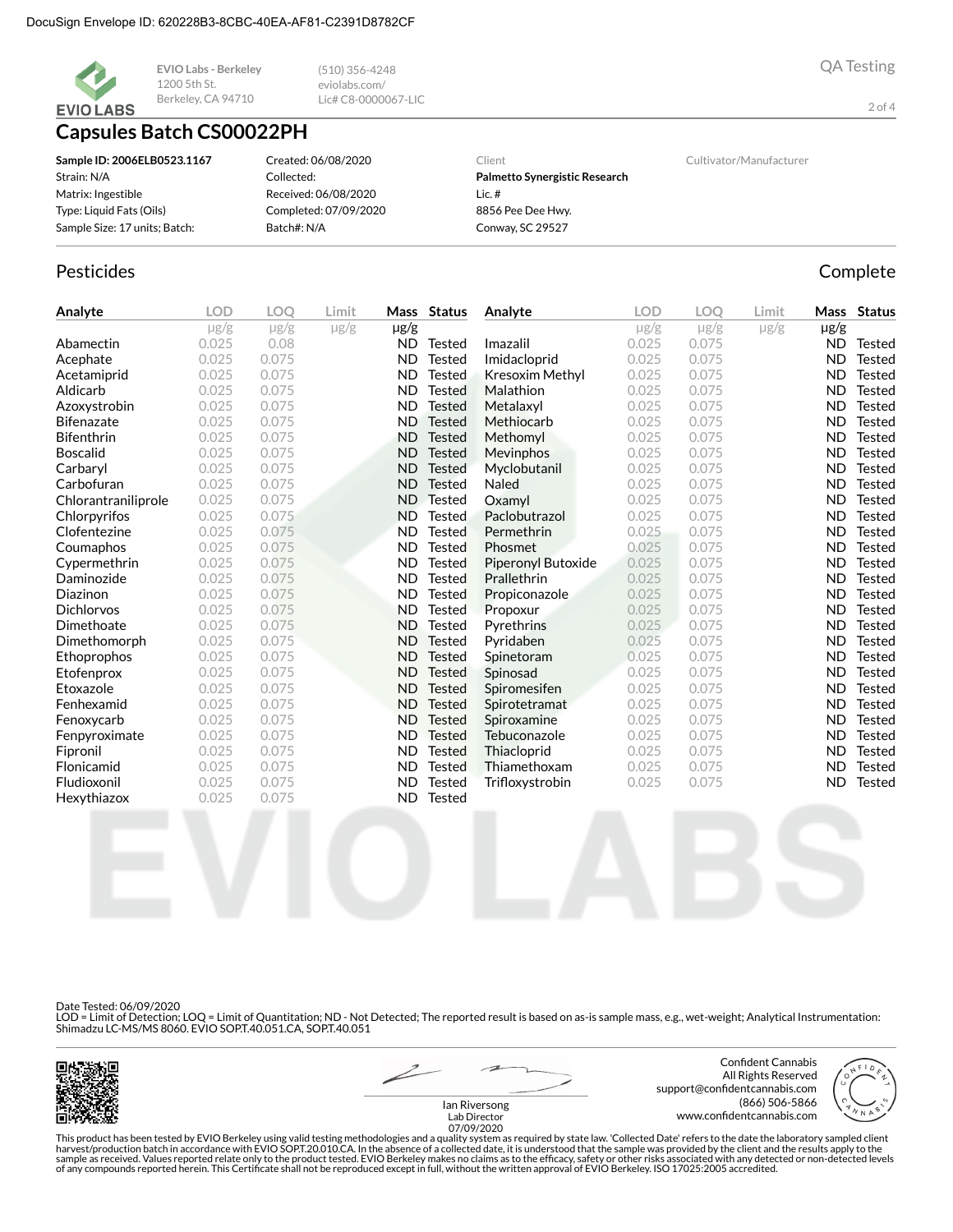

**EVIO Labs - Berkeley** 1200 5th St. Berkeley, CA 94710

# **Capsules Batch CS00022PH**

| Sample ID: 2006ELB0523.1167   | Created: 06/08/2020   | Client                        | Cultivator/Manufacturer |
|-------------------------------|-----------------------|-------------------------------|-------------------------|
| Strain: N/A                   | Collected:            | Palmetto Synergistic Research |                         |
| Matrix: Ingestible            | Received: 06/08/2020  | Lic. #                        |                         |
| Type: Liquid Fats (Oils)      | Completed: 07/09/2020 | 8856 Pee Dee Hwy.             |                         |
| Sample Size: 17 units; Batch: | Batch#: N/A           | Conway, SC 29527              |                         |

 $(510)$  356-4248

Lic# C8-0000067-LIC

eviolabs.com/

### Pesticides

| Analyte             | <b>LOD</b> | <b>LOO</b> | Limit     |           | Mass Status   | Analyte            | <b>LOD</b> | <b>LOO</b> | Limit     | Mass      | <b>Status</b> |
|---------------------|------------|------------|-----------|-----------|---------------|--------------------|------------|------------|-----------|-----------|---------------|
|                     | $\mu$ g/g  | $\mu$ g/g  | $\mu$ g/g | µg/g      |               |                    | $\mu$ g/g  | $\mu$ g/g  | $\mu$ g/g | $\mu$ g/g |               |
| Abamectin           | 0.025      | 0.08       |           | ND.       | <b>Tested</b> | Imazalil           | 0.025      | 0.075      |           | ND.       | Tested        |
| Acephate            | 0.025      | 0.075      |           | <b>ND</b> | <b>Tested</b> | Imidacloprid       | 0.025      | 0.075      |           | <b>ND</b> | <b>Tested</b> |
| Acetamiprid         | 0.025      | 0.075      |           | <b>ND</b> | <b>Tested</b> | Kresoxim Methyl    | 0.025      | 0.075      |           | <b>ND</b> | <b>Tested</b> |
| Aldicarb            | 0.025      | 0.075      |           | <b>ND</b> | <b>Tested</b> | Malathion          | 0.025      | 0.075      |           | <b>ND</b> | <b>Tested</b> |
| Azoxystrobin        | 0.025      | 0.075      |           | ND.       | <b>Tested</b> | Metalaxyl          | 0.025      | 0.075      |           | ND.       | <b>Tested</b> |
| <b>Bifenazate</b>   | 0.025      | 0.075      |           | <b>ND</b> | <b>Tested</b> | Methiocarb         | 0.025      | 0.075      |           | <b>ND</b> | <b>Tested</b> |
| Bifenthrin          | 0.025      | 0.075      |           | <b>ND</b> | <b>Tested</b> | Methomyl           | 0.025      | 0.075      |           | <b>ND</b> | <b>Tested</b> |
| <b>Boscalid</b>     | 0.025      | 0.075      |           | ND        | <b>Tested</b> | Mevinphos          | 0.025      | 0.075      |           | <b>ND</b> | <b>Tested</b> |
| Carbaryl            | 0.025      | 0.075      |           | <b>ND</b> | <b>Tested</b> | Myclobutanil       | 0.025      | 0.075      |           | <b>ND</b> | <b>Tested</b> |
| Carbofuran          | 0.025      | 0.075      |           | <b>ND</b> | <b>Tested</b> | <b>Naled</b>       | 0.025      | 0.075      |           | ND.       | <b>Tested</b> |
| Chlorantraniliprole | 0.025      | 0.075      |           | <b>ND</b> | <b>Tested</b> | Oxamyl             | 0.025      | 0.075      |           | ND.       | <b>Tested</b> |
| Chlorpyrifos        | 0.025      | 0.075      |           | <b>ND</b> | <b>Tested</b> | Paclobutrazol      | 0.025      | 0.075      |           | <b>ND</b> | <b>Tested</b> |
| Clofentezine        | 0.025      | 0.075      |           | <b>ND</b> | <b>Tested</b> | Permethrin         | 0.025      | 0.075      |           | <b>ND</b> | Tested        |
| Coumaphos           | 0.025      | 0.075      |           | <b>ND</b> | <b>Tested</b> | Phosmet            | 0.025      | 0.075      |           | <b>ND</b> | <b>Tested</b> |
| Cypermethrin        | 0.025      | 0.075      |           | <b>ND</b> | <b>Tested</b> | Piperonyl Butoxide | 0.025      | 0.075      |           | <b>ND</b> | <b>Tested</b> |
| Daminozide          | 0.025      | 0.075      |           | <b>ND</b> | <b>Tested</b> | Prallethrin        | 0.025      | 0.075      |           | ND.       | <b>Tested</b> |
| Diazinon            | 0.025      | 0.075      |           | <b>ND</b> | <b>Tested</b> | Propiconazole      | 0.025      | 0.075      |           | <b>ND</b> | <b>Tested</b> |
| <b>Dichlorvos</b>   | 0.025      | 0.075      |           | <b>ND</b> | <b>Tested</b> | Propoxur           | 0.025      | 0.075      |           | <b>ND</b> | <b>Tested</b> |
| Dimethoate          | 0.025      | 0.075      |           | <b>ND</b> | <b>Tested</b> | Pyrethrins         | 0.025      | 0.075      |           | ND.       | Tested        |
| Dimethomorph        | 0.025      | 0.075      |           | <b>ND</b> | <b>Tested</b> | Pyridaben          | 0.025      | 0.075      |           | <b>ND</b> | Tested        |
| Ethoprophos         | 0.025      | 0.075      |           | <b>ND</b> | <b>Tested</b> | Spinetoram         | 0.025      | 0.075      |           | <b>ND</b> | Tested        |
| Etofenprox          | 0.025      | 0.075      |           | <b>ND</b> | <b>Tested</b> | Spinosad           | 0.025      | 0.075      |           | ND.       | <b>Tested</b> |
| Etoxazole           | 0.025      | 0.075      |           | <b>ND</b> | <b>Tested</b> | Spiromesifen       | 0.025      | 0.075      |           | <b>ND</b> | <b>Tested</b> |
| Fenhexamid          | 0.025      | 0.075      |           | <b>ND</b> | <b>Tested</b> | Spirotetramat      | 0.025      | 0.075      |           | <b>ND</b> | Tested        |
| Fenoxycarb          | 0.025      | 0.075      |           | <b>ND</b> | <b>Tested</b> | Spiroxamine        | 0.025      | 0.075      |           | <b>ND</b> | Tested        |
| Fenpyroximate       | 0.025      | 0.075      |           | <b>ND</b> | <b>Tested</b> | Tebuconazole       | 0.025      | 0.075      |           | <b>ND</b> | Tested        |
| Fipronil            | 0.025      | 0.075      |           | <b>ND</b> | Tested        | Thiacloprid        | 0.025      | 0.075      |           | <b>ND</b> | Tested        |
| Flonicamid          | 0.025      | 0.075      |           | <b>ND</b> | <b>Tested</b> | Thiamethoxam       | 0.025      | 0.075      |           | <b>ND</b> | <b>Tested</b> |
| Fludioxonil         | 0.025      | 0.075      |           | <b>ND</b> | <b>Tested</b> | Trifloxystrobin    | 0.025      | 0.075      |           | <b>ND</b> | <b>Tested</b> |
| Hexythiazox         | 0.025      | 0.075      |           | <b>ND</b> | <b>Tested</b> |                    |            |            |           |           |               |

Date Tested: 06/09/2020

LOD = Limit of Detection; LOQ = Limit of Quantitation; ND - Not Detected; The reported result is based on as-is sample mass, e.g., wet-weight; Analytical Instrumentation:<br>Shimadzu LC-MS/MS 8060. EVIO SOP.T.40.051.CA, SOP.T



Confident Cannabis All Rights Reserved support@confidentcannabis.com (866) 506-5866 www.confidentcannabis.com



 $2$  of  $4$ 

**QA Testing** 

Complete

lan Riversong Lab Director

LETTING SEASON This product has been tested by EVIO Berkeley using valid testing methodologies and a quality system as the Director<br>This product has been tested by EVIO Berkeley using valid testing methodologies and a qual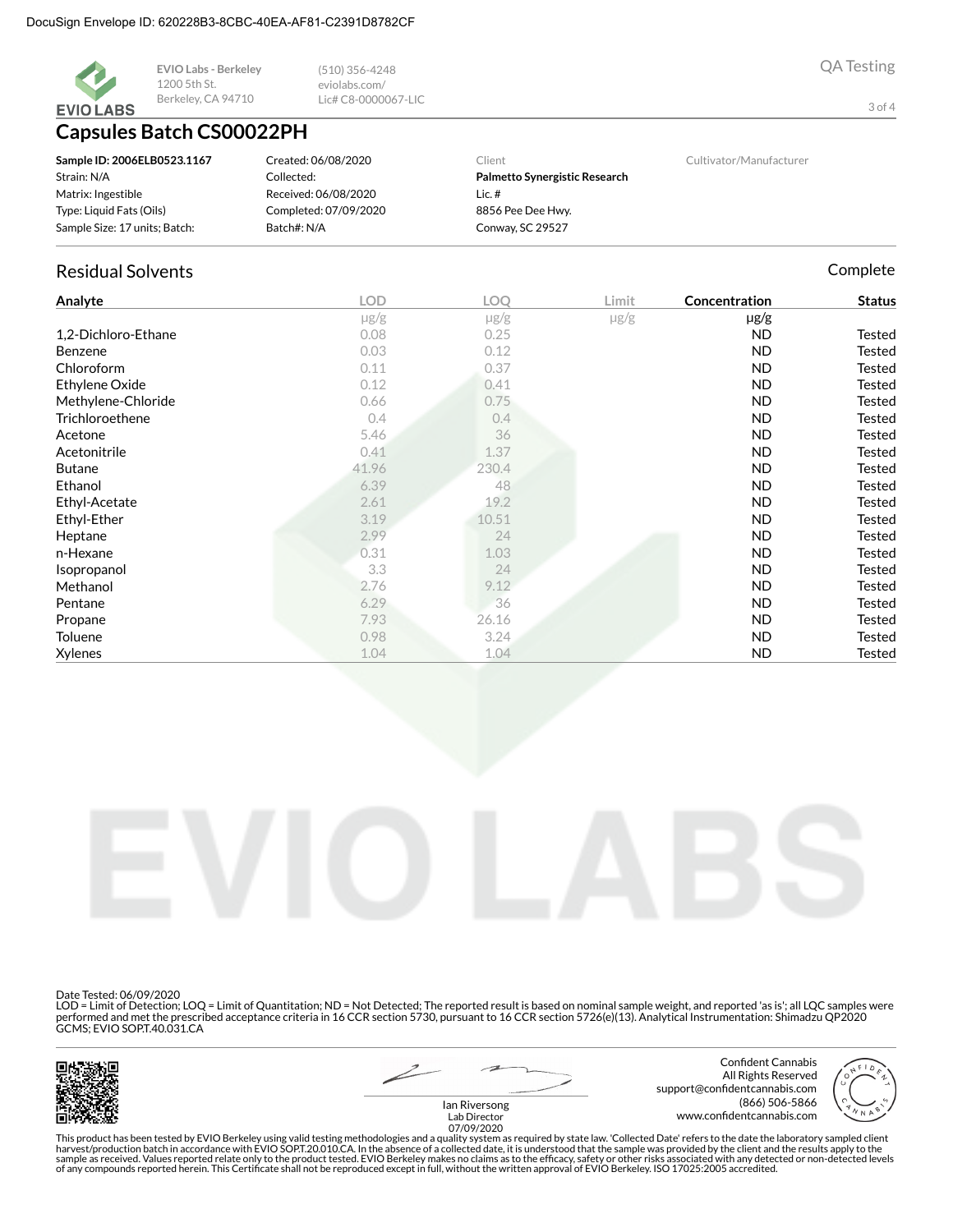

**EVIO Labs - Berkeley** 1200 5th St. Berkeley, CA 94710

## **Capsules Batch CS00022PH**

| Sample ID: 2006ELB0523.1167   | Created: 06/08/2020   | Client                        | Cultivator/Manufacturer |
|-------------------------------|-----------------------|-------------------------------|-------------------------|
| Strain: N/A                   | Collected:            | Palmetto Synergistic Research |                         |
| Matrix: Ingestible            | Received: 06/08/2020  | Lic.#                         |                         |
| Type: Liquid Fats (Oils)      | Completed: 07/09/2020 | 8856 Pee Dee Hwy.             |                         |
| Sample Size: 17 units; Batch: | Batch#: N/A           | Conway, SC 29527              |                         |

 $(510)$  356-4248

Lic# C8-0000067-LIC

eviolabs.com/

### **Residual Solvents**

| Analyte             | <b>LOD</b> | LOQ       | Limit     | Concentration | <b>Status</b> |
|---------------------|------------|-----------|-----------|---------------|---------------|
|                     | $\mu$ g/g  | $\mu$ g/g | $\mu$ g/g | $\mu$ g/g     |               |
| 1,2-Dichloro-Ethane | 0.08       | 0.25      |           | <b>ND</b>     | Tested        |
| Benzene             | 0.03       | 0.12      |           | <b>ND</b>     | Tested        |
| Chloroform          | 0.11       | 0.37      |           | <b>ND</b>     | <b>Tested</b> |
| Ethylene Oxide      | 0.12       | 0.41      |           | <b>ND</b>     | Tested        |
| Methylene-Chloride  | 0.66       | 0.75      |           | <b>ND</b>     | <b>Tested</b> |
| Trichloroethene     | 0.4        | 0.4       |           | <b>ND</b>     | <b>Tested</b> |
| Acetone             | 5.46       | 36        |           | <b>ND</b>     | Tested        |
| Acetonitrile        | 0.41       | 1.37      |           | ND            | <b>Tested</b> |
| <b>Butane</b>       | 41.96      | 230.4     |           | <b>ND</b>     | <b>Tested</b> |
| Ethanol             | 6.39       | 48        |           | <b>ND</b>     | Tested        |
| Ethyl-Acetate       | 2.61       | 19.2      |           | ND            | <b>Tested</b> |
| Ethyl-Ether         | 3.19       | 10.51     |           | <b>ND</b>     | <b>Tested</b> |
| Heptane             | 2.99       | 24        |           | <b>ND</b>     | <b>Tested</b> |
| n-Hexane            | 0.31       | 1.03      |           | ND            | <b>Tested</b> |
| Isopropanol         | 3.3        | 24        |           | <b>ND</b>     | <b>Tested</b> |
| Methanol            | 2.76       | 9.12      |           | <b>ND</b>     | <b>Tested</b> |
| Pentane             | 6.29       | 36        |           | ND            | <b>Tested</b> |
| Propane             | 7.93       | 26.16     |           | <b>ND</b>     | <b>Tested</b> |
| Toluene             | 0.98       | 3.24      |           | <b>ND</b>     | <b>Tested</b> |
| Xylenes             | 1.04       | 1.04      |           | <b>ND</b>     | <b>Tested</b> |



Date Tested: 06/09/2020

LOD = Limit of Detection; LOQ = Limit of Quantitation; ND = Not Detected; The reported result is based on nominal sample weight, and reported 'as is'; all LQC samples were be formed and met the prescribed acceptance criteria in 16 CCR section 5730, pursuant to 16 CCR section 5726(e)(13). Analytical Instrumentation: Shimadzu QP2020<br>GCMS; EVIO SOPT.40.031.CA



Confident Cannabis All Rights Reserved support@confidentcannabis.com (866) 506-5866 www.confidentcannabis.com



lan Riversong Lab Director

LETTING SEASON This product has been tested by EVIO Berkeley using valid testing methodologies and a quality system as the Director<br>This product has been tested by EVIO Berkeley using valid testing methodologies and a qual

**QA Testing** 

Complete

3 of 4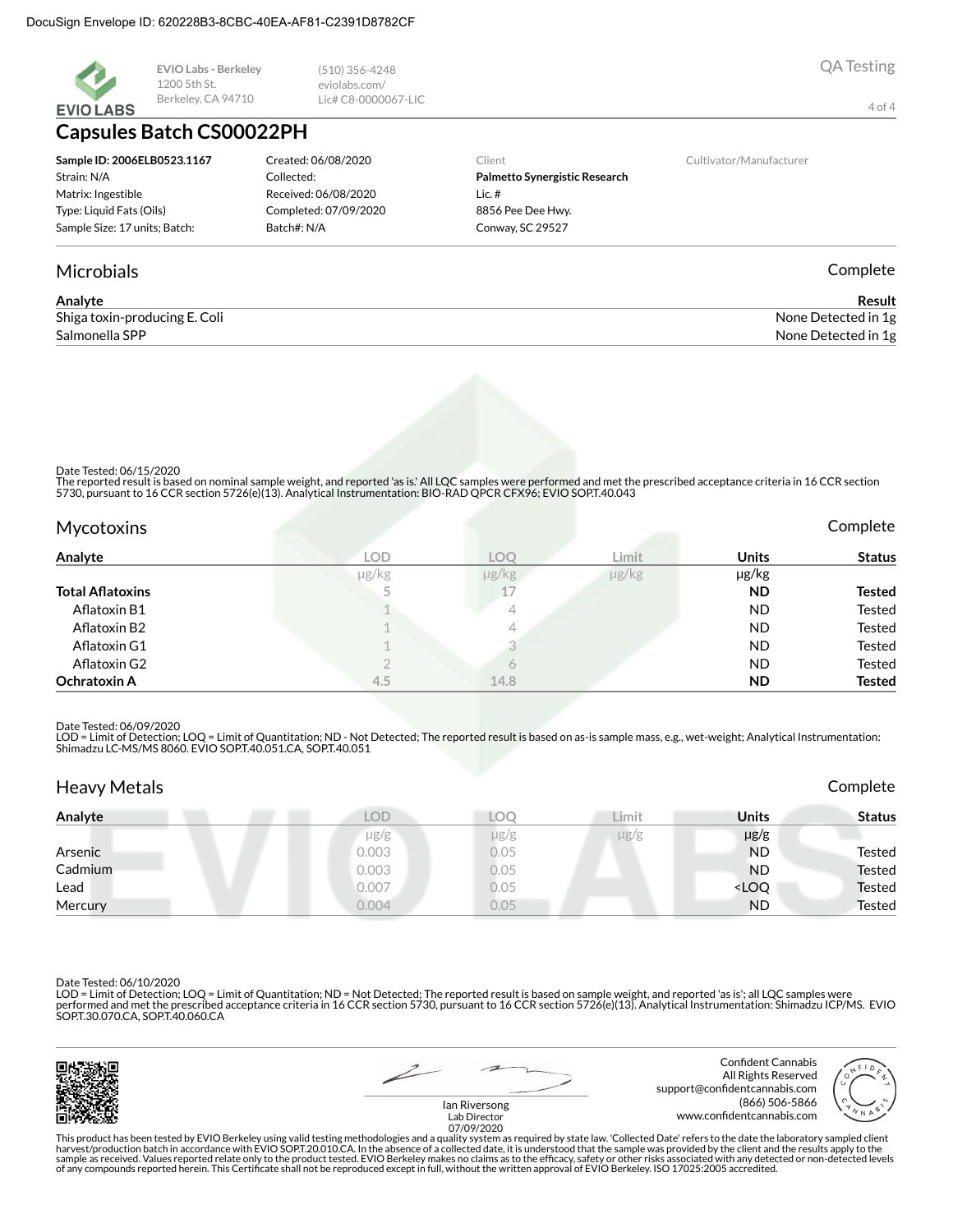

**Microbials** 

EVIO Labs - Berkeley 1200 5th St. Berkeley, CA 94710

## **Capsules Batch CS00022PH**

| Sample ID: 2006ELB0523.1167   | Created: 06/08/2020   | Client   |
|-------------------------------|-----------------------|----------|
| Strain: N/A                   | Collected:            | Palme    |
| Matrix: Ingestible            | Received: 06/08/2020  | Lic. $#$ |
| Type: Liquid Fats (Oils)      | Completed: 07/09/2020 | 88561    |
| Sample Size: 17 units; Batch: | Batch#: N/A           | Conw.    |
|                               |                       |          |

 $(510)$  356-4248

Lic# C8-0000067-LIC

eviolabs.com/

#### Palmetto Synergistic Research  $lic.$ # 8856 Pee Dee Hwy. Conway, SC 29527

Cultivator/Manufacturer

Complete

**QA Testing** 

4 of 4

| Analyte                       | Result              |
|-------------------------------|---------------------|
| Shiga toxin-producing E. Coli | None Detected in 1g |
| Salmonella SPP                | None Detected in 1g |

Date Tested: 06/15/2020

The reported result is based on nominal sample weight, and reported 'as is.' All LQC samples were performed and met the prescribed acceptance criteria in 16 CCR section<br>5730, pursuant to 16 CCR section 5726(e)(13). Analyti

| <b>Mycotoxins</b>       |            |                      |            |              | Complete      |
|-------------------------|------------|----------------------|------------|--------------|---------------|
| Analyte                 | <b>LOD</b> | LOO                  | Limit      | <b>Units</b> | <b>Status</b> |
|                         | µg/kg      | $\mu$ g/ $\text{kg}$ | $\mu$ g/kg | µg/kg        |               |
| <b>Total Aflatoxins</b> |            | 17                   |            | <b>ND</b>    | Tested        |
| Aflatoxin B1            |            | 4                    |            | <b>ND</b>    | Tested        |
| Aflatoxin B2            |            | 4                    |            | <b>ND</b>    | Tested        |
| Aflatoxin G1            |            |                      |            | <b>ND</b>    | Tested        |
| Aflatoxin G2            |            | $\circ$              |            | <b>ND</b>    | Tested        |
| <b>Ochratoxin A</b>     | 4.5        | 14.8                 |            | <b>ND</b>    | <b>Tested</b> |

Date Tested: 06/09/2020

LOD = Limit of Detection; LOQ = Limit of Quantitation; ND - Not Detected; The reported result is based on as-is sample mass, e.g., wet-weight; Analytical Instrumentation:<br>Shimadzu LC-MS/MS 8060. EVIO SOP.T.40.051.CA, SOP.T

| <b>Heavy Metals</b> |            |           |           |                                           | Complete      |
|---------------------|------------|-----------|-----------|-------------------------------------------|---------------|
| Analyte             | <b>LOD</b> | LOC       | Limit.    | <b>Units</b>                              | <b>Status</b> |
|                     | $\mu$ g/g  | $\mu$ g/g | $\mu$ g/g | $\mu$ g/g                                 |               |
| Arsenic             | 0.003      | 0.05      |           | <b>ND</b>                                 | Tested        |
| Cadmium             | 0.003      | 0.05      |           | <b>ND</b>                                 | <b>Tested</b> |
| Lead                | 0.007      | 0.05      |           | <loq< td=""><td><b>Tested</b></td></loq<> | <b>Tested</b> |
| Mercury             | 0.004      | 0.05      |           | <b>ND</b>                                 | <b>Tested</b> |

Date Tested: 06/10/2020

LOD = Limit of Detection; LOQ = Limit of Quantitation; ND = Not Detected; The reported result is based on sample weight, and reported 'as is'; all LQC samples were performed and met the prescribed acceptance criteria in 16 CCR section 5730, pursuant to 16 CCR section 5726(e)(13). Analytical Instrumentation: Shimadzu ICP/MS. EVIO<br>SOP.T.30.070.CA, SOP.T.40.060.CA



Confident Cannabis All Rights Reserved support@confidentcannabis.com (866) 506-5866 www.confidentcannabis.com



lan Riversong Lab Director

CONSIDENT AND THE SERVIT DESCRIPTION TO THE SERVIT DETAILS AND THE SERVIT OF THE SERVIT OF THE SERVIT OF THE S<br>This product has been tested by EVIO Berkeley using valid testing methodologies and a quality system as require of any compounds reported herein. This Certificate shall not be reproduced except in full, without the written approval of EVIO Berkeley. ISO 17025:2005 accredited.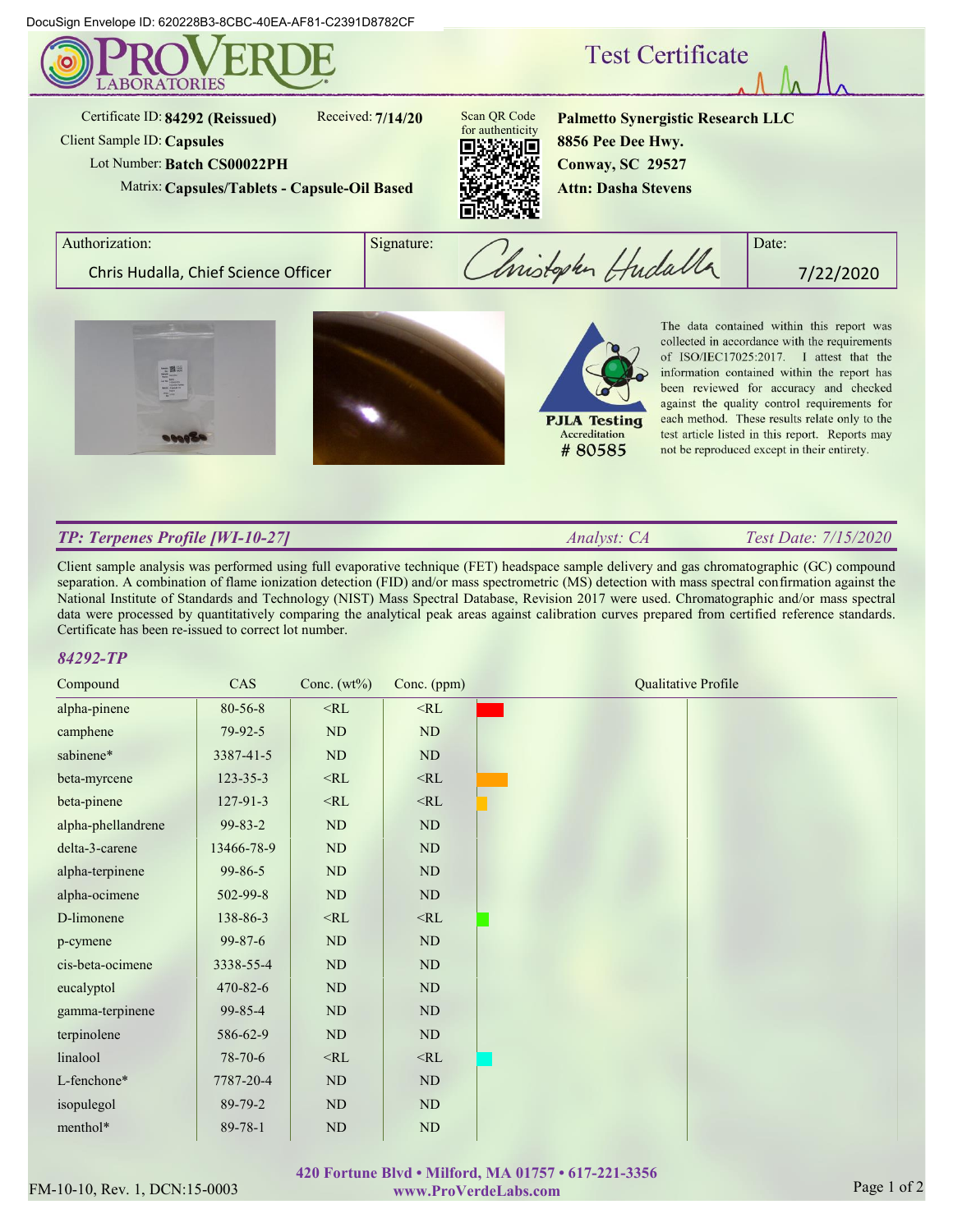DocuSign Envelope ID: 620228B3-8CBC-40EA-AF81-C2391D8782CF



Certificate ID: **84292 (Reissued)**

Received: **7/14/20**

Client Sample ID: **Capsules** Lot Number:**Batch CS00022PH**

Matrix: **Capsules/Tablets - Capsule-Oil Based**



**Palmetto Synergistic Research LLC 8856 Pee Dee Hwy. Conway, SC 29527 Attn: Dasha Stevens**

**Test Certificate** 

Authorization: Signature: Signature: Christophen Hudalla Chris Hudalla, Chief Science Officer 1 *Constanting Huddov* 7/22/2020







The data contained within this report was collected in accordance with the requirements of ISO/IEC17025:2017. I attest that the information contained within the report has been reviewed for accuracy and checked against the quality control requirements for each method. These results relate only to the test article listed in this report. Reports may not be reproduced except in their entirety.

# *TP: Terpenes Profile [WI-10-27]*

*Analyst: CA Test Date: 7/15/2020*

Client sample analysis was performed using full evaporative technique (FET) headspace sample delivery and gas chromatographic (GC) compound separation. A combination of flame ionization detection (FID) and/or mass spectrometric (MS) detection with mass spectral confirmation against the National Institute of Standards and Technology (NIST) Mass Spectral Database, Revision 2017 were used. Chromatographic and/or mass spectral data were processed by quantitatively comparing the analytical peak areas against calibration curves prepared from certified reference standards. Certificate has been re-issued to correct lot number.

## *84292-TP*

| CAS            | Conc. $(wt\%)$ | Conc. (ppm) | <b>Qualitative Profile</b> |
|----------------|----------------|-------------|----------------------------|
| 80-56-8        | $<$ RL         | $<$ RL      |                            |
| 79-92-5        | ND             | $\rm ND$    |                            |
| 3387-41-5      | ND             | ND          |                            |
| 123-35-3       | $<$ RL         | $<$ RL      |                            |
| $127 - 91 - 3$ | $<$ RL         | $<\!\!RL$   |                            |
| 99-83-2        | ND             | ND          |                            |
| 13466-78-9     | ND             | $\rm ND$    |                            |
| 99-86-5        | ND             | ND          |                            |
| 502-99-8       | $\rm ND$       | ND          |                            |
| 138-86-3       | $<\!\!RL$      | $<\!\!RL$   |                            |
| $99 - 87 - 6$  | ND             | ND          |                            |
| 3338-55-4      | ND             | ND          |                            |
| 470-82-6       | ND             | ND          |                            |
| 99-85-4        | $\rm ND$       | ND          |                            |
| 586-62-9       | ND             | ND          |                            |
| 78-70-6        | $<$ RL         | $<$ RL      |                            |
| 7787-20-4      | ND             | $\rm ND$    |                            |
| 89-79-2        | ND             | ND          |                            |
| 89-78-1        | ND             | $\rm ND$    |                            |
|                |                |             |                            |